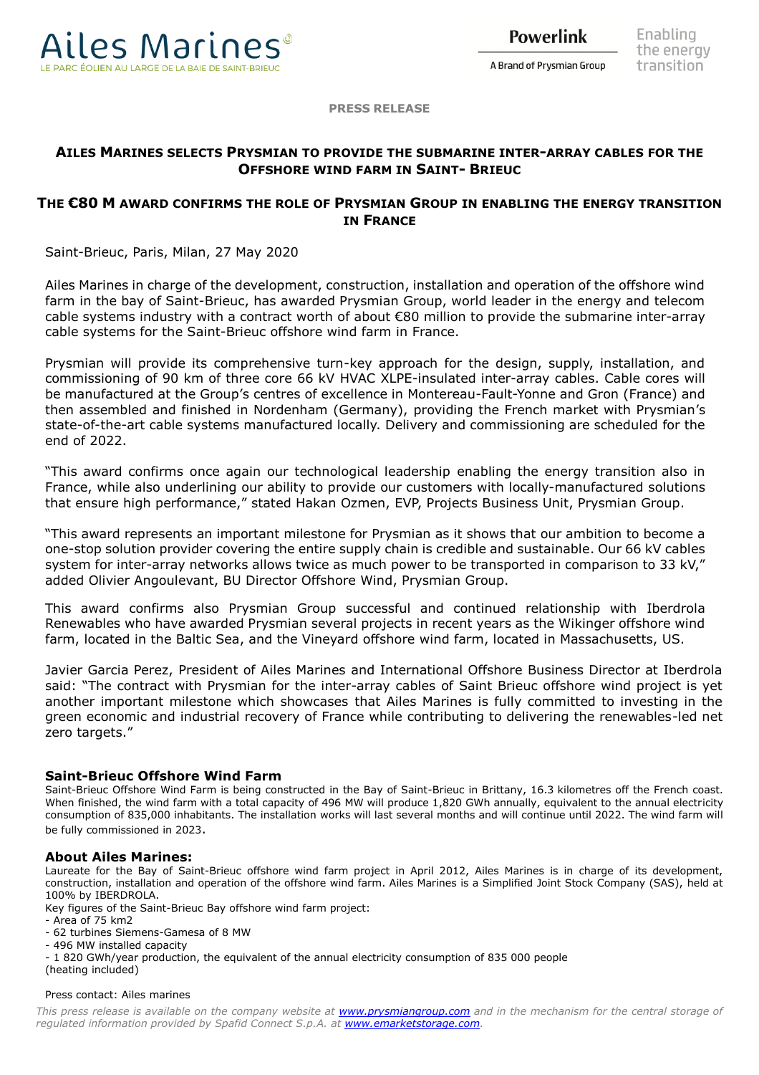

**Powerlink** 

A Brand of Prysmian Group

**PRESS RELEASE**

# **AILES MARINES SELECTS PRYSMIAN TO PROVIDE THE SUBMARINE INTER-ARRAY CABLES FOR THE OFFSHORE WIND FARM IN SAINT- BRIEUC**

## **THE €80 M AWARD CONFIRMS THE ROLE OF PRYSMIAN GROUP IN ENABLING THE ENERGY TRANSITION IN FRANCE**

Saint-Brieuc, Paris, Milan, 27 May 2020

Ailes Marines in charge of the development, construction, installation and operation of the offshore wind farm in the bay of Saint-Brieuc, has awarded Prysmian Group, world leader in the energy and telecom cable systems industry with a contract worth of about €80 million to provide the submarine inter-array cable systems for the Saint-Brieuc offshore wind farm in France.

Prysmian will provide its comprehensive turn-key approach for the design, supply, installation, and commissioning of 90 km of three core 66 kV HVAC XLPE-insulated inter-array cables. Cable cores will be manufactured at the Group's centres of excellence in Montereau-Fault-Yonne and Gron (France) and then assembled and finished in Nordenham (Germany), providing the French market with Prysmian's state-of-the-art cable systems manufactured locally. Delivery and commissioning are scheduled for the end of 2022.

"This award confirms once again our technological leadership enabling the energy transition also in France, while also underlining our ability to provide our customers with locally-manufactured solutions that ensure high performance," stated Hakan Ozmen, EVP, Projects Business Unit, Prysmian Group.

"This award represents an important milestone for Prysmian as it shows that our ambition to become a one-stop solution provider covering the entire supply chain is credible and sustainable. Our 66 kV cables system for inter-array networks allows twice as much power to be transported in comparison to 33 kV," added Olivier Angoulevant, BU Director Offshore Wind, Prysmian Group.

This award confirms also Prysmian Group successful and continued relationship with Iberdrola Renewables who have awarded Prysmian several projects in recent years as the Wikinger offshore wind farm, located in the Baltic Sea, and the Vineyard offshore wind farm, located in Massachusetts, US.

Javier Garcia Perez, President of Ailes Marines and International Offshore Business Director at Iberdrola said: "The contract with Prysmian for the inter-array cables of Saint Brieuc offshore wind project is yet another important milestone which showcases that Ailes Marines is fully committed to investing in the green economic and industrial recovery of France while contributing to delivering the renewables-led net zero targets."

### **Saint-Brieuc Offshore Wind Farm**

Saint-Brieuc Offshore Wind Farm is being constructed in the Bay of Saint-Brieuc in Brittany, 16.3 kilometres off the French coast. When finished, the wind farm with a total capacity of 496 MW will produce 1,820 GWh annually, equivalent to the annual electricity consumption of 835,000 inhabitants. The installation works will last several months and will continue until 2022. The wind farm will be fully commissioned in 2023.

#### **About Ailes Marines:**

Laureate for the Bay of Saint-Brieuc offshore wind farm project in April 2012, Ailes Marines is in charge of its development, construction, installation and operation of the offshore wind farm. Ailes Marines is a Simplified Joint Stock Company (SAS), held at 100% by IBERDROLA.

Key figures of the Saint-Brieuc Bay offshore wind farm project:

- Area of 75 km2

- 62 turbines Siemens-Gamesa of 8 MW

- 496 MW installed capacity

- 1 820 GWh/year production, the equivalent of the annual electricity consumption of 835 000 people

(heating included)

#### Press contact: Ailes marines

*This press release is available on the company website at [www.prysmiangroup.com](http://www.prysmiangroup.com/) and in the mechanism for the central storage of regulated information provided by Spafid Connect S.p.A. at [www.emarketstorage.com.](http://www.emarketstorage.com/)*